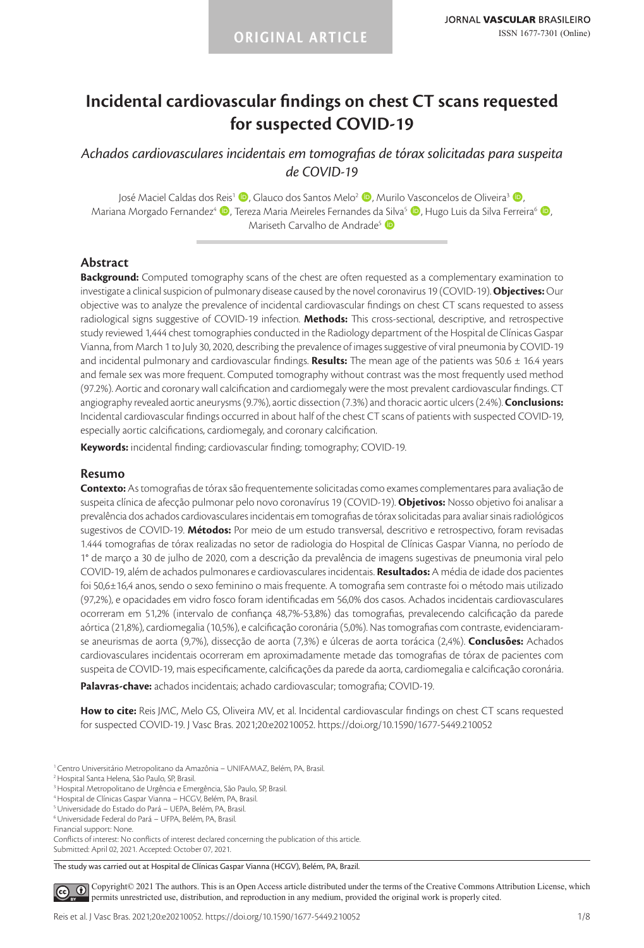# **Incidental cardiovascular findings on chest CT scans requested for suspected COVID-19**

*Achados cardiovasculares incidentais em tomografias de tórax solicitadas para suspeita de COVID-19*

José Maciel Caldas dos Reis<sup>1</sup> (D. Glauco dos Santos Melo<sup>2</sup> (D. Murilo Vasconcelos de Oliveira<sup>3</sup> (D. Mariana Morgado Fernandez<sup>4</sup> (D, Tereza Maria Meireles Fernandes da Silva<sup>5</sup> (D, Hugo Luis da Silva Ferreira<sup>6</sup> (D, Mariseth Carvalho de Andrade<sup>5</sup>

### **Abstract**

**Background:** Computed tomography scans of the chest are often requested as a complementary examination to investigate a clinical suspicion of pulmonary disease caused by the novel coronavirus 19 (COVID-19). **Objectives:** Our objective was to analyze the prevalence of incidental cardiovascular findings on chest CT scans requested to assess radiological signs suggestive of COVID-19 infection. **Methods:** This cross-sectional, descriptive, and retrospective study reviewed 1,444 chest tomographies conducted in the Radiology department of the Hospital de Clínicas Gaspar Vianna, from March 1 to July 30, 2020, describing the prevalence of images suggestive of viral pneumonia by COVID-19 and incidental pulmonary and cardiovascular findings. **Results:** The mean age of the patients was 50.6 ± 16.4 years and female sex was more frequent. Computed tomography without contrast was the most frequently used method (97.2%). Aortic and coronary wall calcification and cardiomegaly were the most prevalent cardiovascular findings. CT angiography revealed aortic aneurysms (9.7%), aortic dissection (7.3%) and thoracic aortic ulcers (2.4%). **Conclusions:** Incidental cardiovascular findings occurred in about half of the chest CT scans of patients with suspected COVID-19, especially aortic calcifications, cardiomegaly, and coronary calcification.

**Keywords:** incidental finding; cardiovascular finding; tomography; COVID-19.

### **Resumo**

**Contexto:** As tomografias de tórax são frequentemente solicitadas como exames complementares para avaliação de suspeita clínica de afecção pulmonar pelo novo coronavírus 19 (COVID-19). **Objetivos:** Nosso objetivo foi analisar a prevalência dos achados cardiovasculares incidentais em tomografias de tórax solicitadas para avaliar sinais radiológicos sugestivos de COVID-19. **Métodos:** Por meio de um estudo transversal, descritivo e retrospectivo, foram revisadas 1.444 tomografias de tórax realizadas no setor de radiologia do Hospital de Clínicas Gaspar Vianna, no período de 1° de março a 30 de julho de 2020, com a descrição da prevalência de imagens sugestivas de pneumonia viral pelo COVID-19, além de achados pulmonares e cardiovasculares incidentais. **Resultados:** A média de idade dos pacientes foi 50,6±16,4 anos, sendo o sexo feminino o mais frequente. A tomografia sem contraste foi o método mais utilizado (97,2%), e opacidades em vidro fosco foram identificadas em 56,0% dos casos. Achados incidentais cardiovasculares ocorreram em 51,2% (intervalo de confiança 48,7%-53,8%) das tomografias, prevalecendo calcificação da parede aórtica (21,8%), cardiomegalia (10,5%), e calcificação coronária (5,0%). Nas tomografias com contraste, evidenciaramse aneurismas de aorta (9,7%), dissecção de aorta (7,3%) e úlceras de aorta torácica (2,4%). **Conclusões:** Achados cardiovasculares incidentais ocorreram em aproximadamente metade das tomografias de tórax de pacientes com suspeita de COVID-19, mais especificamente, calcificações da parede da aorta, cardiomegalia e calcificação coronária.

**Palavras-chave:** achados incidentais; achado cardiovascular; tomografia; COVID-19.

**How to cite:** Reis JMC, Melo GS, Oliveira MV, et al. Incidental cardiovascular findings on chest CT scans requested for suspected COVID-19. J Vasc Bras. 2021;20:e20210052. https://doi.org/10.1590/1677-5449.210052

- <sup>1</sup> Centro Universitário Metropolitano da Amazônia UNIFAMAZ, Belém, PA, Brasil.
- 2Hospital Santa Helena, São Paulo, SP, Brasil.
- <sup>3</sup> Hospital Metropolitano de Urgência e Emergência, São Paulo, SP, Brasil.
- 4Hospital de Clínicas Gaspar Vianna HCGV, Belém, PA, Brasil.
- 5Universidade do Estado do Pará UEPA, Belém, PA, Brasil.
- 6Universidade Federal do Pará UFPA, Belém, PA, Brasil.
- Financial support: None.

Conflicts of interest: No conflicts of interest declared concerning the publication of this article. Submitted: April 02, 2021. Accepted: October 07, 2021.

The study was carried out at Hospital de Clínicas Gaspar Vianna (HCGV), Belém, PA, Brazil.

[C](https://creativecommons.org/licenses/by/4.0/)opyright© 2021 The authors. This is an Open Access article distributed under the terms of the Creative Commons Attribution License, which  $\odot$ permits unrestricted use, distribution, and reproduction in any medium, provided the original work is properly cited.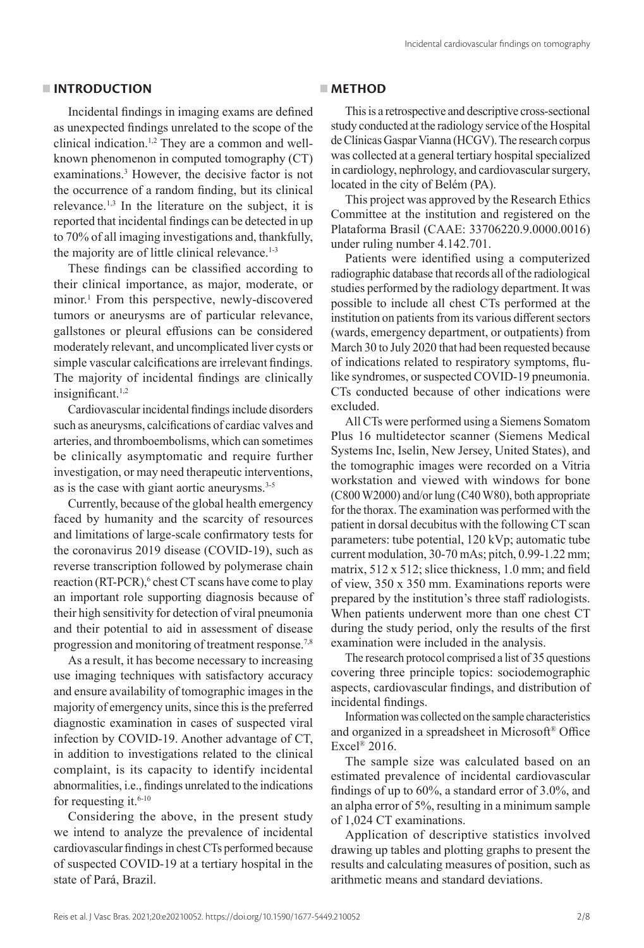### **INTRODUCTION**

Incidental findings in imaging exams are defined as unexpected findings unrelated to the scope of the clinical indication.1,2 They are a common and wellknown phenomenon in computed tomography (CT) examinations.<sup>3</sup> However, the decisive factor is not the occurrence of a random finding, but its clinical relevance.1,3 In the literature on the subject, it is reported that incidental findings can be detected in up to 70% of all imaging investigations and, thankfully, the majority are of little clinical relevance.<sup>1-3</sup>

These findings can be classified according to their clinical importance, as major, moderate, or minor.1 From this perspective, newly-discovered tumors or aneurysms are of particular relevance, gallstones or pleural effusions can be considered moderately relevant, and uncomplicated liver cysts or simple vascular calcifications are irrelevant findings. The majority of incidental findings are clinically insignificant.<sup>1,2</sup>

Cardiovascular incidental findings include disorders such as aneurysms, calcifications of cardiac valves and arteries, and thromboembolisms, which can sometimes be clinically asymptomatic and require further investigation, or may need therapeutic interventions, as is the case with giant aortic aneurysms.3-5

Currently, because of the global health emergency faced by humanity and the scarcity of resources and limitations of large-scale confirmatory tests for the coronavirus 2019 disease (COVID-19), such as reverse transcription followed by polymerase chain reaction (RT-PCR),<sup>6</sup> chest CT scans have come to play an important role supporting diagnosis because of their high sensitivity for detection of viral pneumonia and their potential to aid in assessment of disease progression and monitoring of treatment response.<sup>7,8</sup>

As a result, it has become necessary to increasing use imaging techniques with satisfactory accuracy and ensure availability of tomographic images in the majority of emergency units, since this is the preferred diagnostic examination in cases of suspected viral infection by COVID-19. Another advantage of CT, in addition to investigations related to the clinical complaint, is its capacity to identify incidental abnormalities, i.e., findings unrelated to the indications for requesting it.<sup>6-10</sup>

Considering the above, in the present study we intend to analyze the prevalence of incidental cardiovascular findings in chest CTs performed because of suspected COVID-19 at a tertiary hospital in the state of Pará, Brazil.

### **METHOD**

This is a retrospective and descriptive cross-sectional study conducted at the radiology service of the Hospital de Clínicas Gaspar Vianna (HCGV). The research corpus was collected at a general tertiary hospital specialized in cardiology, nephrology, and cardiovascular surgery, located in the city of Belém (PA).

This project was approved by the Research Ethics Committee at the institution and registered on the Plataforma Brasil (CAAE: 33706220.9.0000.0016) under ruling number 4.142.701.

Patients were identified using a computerized radiographic database that records all of the radiological studies performed by the radiology department. It was possible to include all chest CTs performed at the institution on patients from its various different sectors (wards, emergency department, or outpatients) from March 30 to July 2020 that had been requested because of indications related to respiratory symptoms, flulike syndromes, or suspected COVID-19 pneumonia. CTs conducted because of other indications were excluded.

All CTs were performed using a Siemens Somatom Plus 16 multidetector scanner (Siemens Medical Systems Inc, Iselin, New Jersey, United States), and the tomographic images were recorded on a Vitria workstation and viewed with windows for bone (C800 W2000) and/or lung (C40 W80), both appropriate for the thorax. The examination was performed with the patient in dorsal decubitus with the following CT scan parameters: tube potential, 120 kVp; automatic tube current modulation, 30-70 mAs; pitch, 0.99-1.22 mm; matrix, 512 x 512; slice thickness, 1.0 mm; and field of view, 350 x 350 mm. Examinations reports were prepared by the institution's three staff radiologists. When patients underwent more than one chest CT during the study period, only the results of the first examination were included in the analysis.

The research protocol comprised a list of 35 questions covering three principle topics: sociodemographic aspects, cardiovascular findings, and distribution of incidental findings.

Information was collected on the sample characteristics and organized in a spreadsheet in Microsoft® Office Excel® 2016.

The sample size was calculated based on an estimated prevalence of incidental cardiovascular findings of up to 60%, a standard error of 3.0%, and an alpha error of 5%, resulting in a minimum sample of 1,024 CT examinations.

Application of descriptive statistics involved drawing up tables and plotting graphs to present the results and calculating measures of position, such as arithmetic means and standard deviations.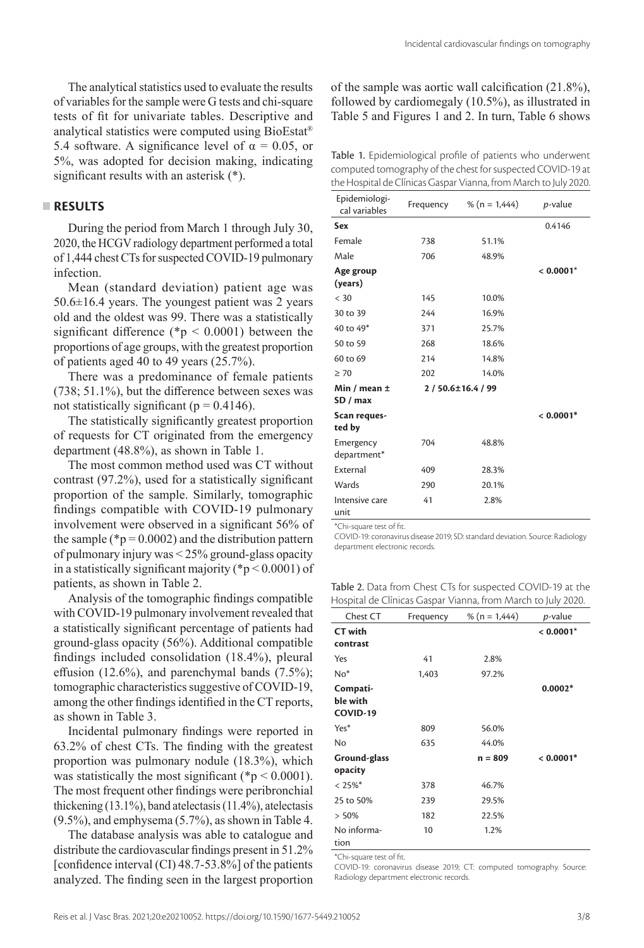The analytical statistics used to evaluate the results of variables for the sample were G tests and chi-square tests of fit for univariate tables. Descriptive and analytical statistics were computed using BioEstat® 5.4 software. A significance level of  $\alpha = 0.05$ , or 5%, was adopted for decision making, indicating significant results with an asterisk (\*).

### **RESULTS**

During the period from March 1 through July 30, 2020, the HCGV radiology department performed a total of 1,444 chest CTs for suspected COVID-19 pulmonary infection.

Mean (standard deviation) patient age was  $50.6\pm16.4$  years. The youngest patient was 2 years old and the oldest was 99. There was a statistically significant difference ( ${}^*p$  < 0.0001) between the proportions of age groups, with the greatest proportion of patients aged 40 to 49 years (25.7%).

There was a predominance of female patients (738; 51.1%), but the difference between sexes was not statistically significant ( $p = 0.4146$ ).

The statistically significantly greatest proportion of requests for CT originated from the emergency department (48.8%), as shown in Table 1.

The most common method used was CT without contrast (97.2%), used for a statistically significant proportion of the sample. Similarly, tomographic findings compatible with COVID-19 pulmonary involvement were observed in a significant 56% of the sample ( ${}^{*}p = 0.0002$ ) and the distribution pattern of pulmonary injury was < 25% ground-glass opacity in a statistically significant majority ( $p < 0.0001$ ) of patients, as shown in Table 2.

Analysis of the tomographic findings compatible with COVID-19 pulmonary involvement revealed that a statistically significant percentage of patients had ground-glass opacity (56%). Additional compatible findings included consolidation (18.4%), pleural effusion (12.6%), and parenchymal bands (7.5%); tomographic characteristics suggestive of COVID-19, among the other findings identified in the CT reports, as shown in Table 3.

Incidental pulmonary findings were reported in 63.2% of chest CTs. The finding with the greatest proportion was pulmonary nodule (18.3%), which was statistically the most significant ( ${}^*p$  < 0.0001). The most frequent other findings were peribronchial thickening (13.1%), band atelectasis (11.4%), atelectasis (9.5%), and emphysema (5.7%), as shown in Table 4.

The database analysis was able to catalogue and distribute the cardiovascular findings present in 51.2% [confidence interval (CI) 48.7-53.8%] of the patients analyzed. The finding seen in the largest proportion of the sample was aortic wall calcification (21.8%), followed by cardiomegaly (10.5%), as illustrated in Table 5 and Figures 1 and 2. In turn, Table 6 shows

Table 1. Epidemiological profile of patients who underwent computed tomography of the chest for suspected COVID-19 at the Hospital de Clínicas Gaspar Vianna, from March to July 2020.

| Epidemiologi-<br>cal variables | Frequency      | % ( $n = 1,444$ ) | <i>p</i> -value |
|--------------------------------|----------------|-------------------|-----------------|
| Sex                            |                |                   | 0.4146          |
| Female                         | 738            | 51.1%             |                 |
| Male                           | 706            | 48.9%             |                 |
| Age group<br>(years)           |                |                   | $< 0.0001*$     |
| $<$ 30                         | 145            | 10.0%             |                 |
| 30 to 39                       | 244            | 16.9%             |                 |
| 40 to 49*                      | 371            | 25.7%             |                 |
| 50 to 59                       | 268            | 18.6%             |                 |
| 60 to 69                       | 214            | 14.8%             |                 |
| $\geq 70$                      | 202            | 14.0%             |                 |
| Min / mean ±<br>SD / max       | 2/50.6±16.4/99 |                   |                 |
| Scan reques-<br>ted by         |                |                   | $< 0.0001*$     |
| Emergency<br>department*       | 704            | 48.8%             |                 |
| External                       | 409            | 28.3%             |                 |
| Wards                          | 290            | 20.1%             |                 |
| Intensive care<br>unit         | 41             | 2.8%              |                 |

\*Chi-square test of fit.

COVID-19: coronavirus disease 2019; SD: standard deviation. Source: Radiology department electronic records.

Table 2. Data from Chest CTs for suspected COVID-19 at the Hospital de Clínicas Gaspar Vianna, from March to July 2020.

| Chest CT                         | Frequency | % ( $n = 1,444$ ) | <i>p</i> -value         |
|----------------------------------|-----------|-------------------|-------------------------|
| <b>CT</b> with                   |           |                   | $< 0.0001$ <sup>*</sup> |
| contrast                         |           |                   |                         |
| Yes                              | 41        | 2.8%              |                         |
| $No*$                            | 1,403     | 97.2%             |                         |
| Compati-<br>ble with<br>COVID-19 |           |                   | $0.0002*$               |
| Yes*                             | 809       | 56.0%             |                         |
| No                               | 635       | 44.0%             |                         |
| Ground-glass<br>opacity          |           | $n = 809$         | $< 0.0001*$             |
| $< 25\%$ *                       | 378       | 46.7%             |                         |
| 25 to 50%                        | 239       | 29.5%             |                         |
| > 50%                            | 182       | 22.5%             |                         |
| No informa-<br>tion              | 10        | 1.2%              |                         |

\*Chi-square test of fit.

COVID-19: coronavirus disease 2019; CT: computed tomography. Source: Radiology department electronic records.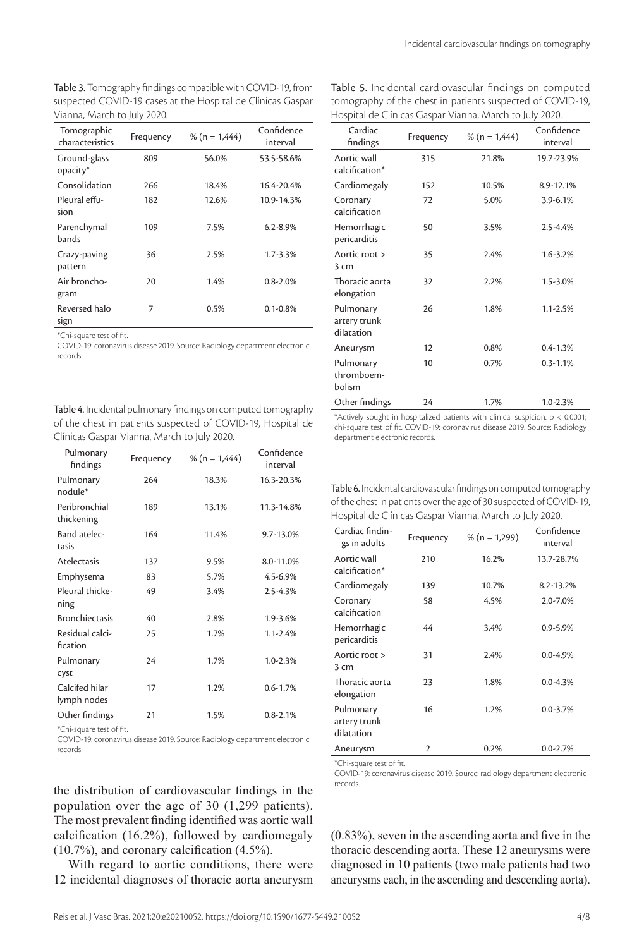Table 3. Tomography findings compatible with COVID-19, from suspected COVID-19 cases at the Hospital de Clínicas Gaspar Vianna, March to July 2020.

| Tomographic<br>characteristics | Frequency | % ( $n = 1,444$ ) | Confidence<br>interval |
|--------------------------------|-----------|-------------------|------------------------|
| Ground-glass<br>opacity*       | 809       | 56.0%             | 53.5-58.6%             |
| Consolidation                  | 266       | 18.4%             | 16.4-20.4%             |
| Pleural effu-<br>sion          | 182       | 12.6%             | 10.9-14.3%             |
| Parenchymal<br>bands           | 109       | 7.5%              | $6.2 - 8.9\%$          |
| Crazy-paving<br>pattern        | 36        | 2.5%              | $1.7 - 3.3%$           |
| Air broncho-<br>gram           | 20        | 1.4%              | $0.8 - 2.0\%$          |
| Reversed halo<br>sign          | 7         | 0.5%              | $0.1 - 0.8\%$          |

\*Chi-square test of fit.

COVID-19: coronavirus disease 2019. Source: Radiology department electronic records.

Table 4. Incidental pulmonary findings on computed tomography of the chest in patients suspected of COVID-19, Hospital de Clínicas Gaspar Vianna, March to July 2020.

| Pulmonary<br>findings         | Frequency | % ( $n = 1,444$ ) | Confidence<br>interval |
|-------------------------------|-----------|-------------------|------------------------|
| Pulmonary<br>nodule*          | 264       | 18.3%             | 16.3-20.3%             |
| Peribronchial<br>thickening   | 189       | 13.1%             | 11.3-14.8%             |
| Band atelec-<br>tasis         | 164       | 11.4%             | 9.7-13.0%              |
| <b>Atelectasis</b>            | 137       | 9.5%              | 8.0-11.0%              |
| Emphysema                     | 83        | 5.7%              | $4.5 - 6.9%$           |
| Pleural thicke-<br>ning       | 49        | 3.4%              | 2.5-4.3%               |
| <b>Bronchiectasis</b>         | 40        | 2.8%              | 1.9-3.6%               |
| Residual calci-<br>fication   | 25        | 1.7%              | $1.1 - 2.4%$           |
| Pulmonary<br>cyst             | 24        | 1.7%              | $1.0 - 2.3%$           |
| Calcifed hilar<br>lymph nodes | 17        | 1.2%              | $0.6 - 1.7%$           |
| Other findings                | 21        | 1.5%              | $0.8 - 2.1%$           |

\*Chi-square test of fit.

COVID-19: coronavirus disease 2019. Source: Radiology department electronic records.

the distribution of cardiovascular findings in the population over the age of 30 (1,299 patients). The most prevalent finding identified was aortic wall calcification (16.2%), followed by cardiomegaly (10.7%), and coronary calcification (4.5%).

With regard to aortic conditions, there were 12 incidental diagnoses of thoracic aorta aneurysm

| Table 5. Incidental cardiovascular findings on computed    |
|------------------------------------------------------------|
| tomography of the chest in patients suspected of COVID-19, |
| Hospital de Clínicas Gaspar Vianna, March to July 2020.    |

| Cardiac<br>findings                     | Frequency | % ( $n = 1,444$ ) | Confidence<br>interval |
|-----------------------------------------|-----------|-------------------|------------------------|
| Aortic wall<br>calcification*           | 315       | 21.8%             | 19.7-23.9%             |
| Cardiomegaly                            | 152       | 10.5%             | 8.9-12.1%              |
| Coronary<br>calcification               | 72        | 5.0%              | 3.9-6.1%               |
| Hemorrhagic<br>pericarditis             | 50        | 3.5%              | 2.5-4.4%               |
| Aortic root ><br>3 cm                   | 35        | 2.4%              | 1.6-3.2%               |
| Thoracic aorta<br>elongation            | 32        | 2.2%              | 1.5-3.0%               |
| Pulmonary<br>artery trunk<br>dilatation | 26        | 1.8%              | $1.1 - 2.5%$           |
| Aneurysm                                | 12        | 0.8%              | $0.4 - 1.3%$           |
| Pulmonary<br>thromboem-<br>bolism       | 10        | 0.7%              | $0.3 - 1.1%$           |
| Other findings                          | 24        | 1.7%              | $1.0 - 2.3%$           |

\*Actively sought in hospitalized patients with clinical suspicion. p < 0.0001; chi-square test of fit. COVID-19: coronavirus disease 2019. Source: Radiology department electronic records.

Table 6. Incidental cardiovascular findings on computed tomography of the chest in patients over the age of 30 suspected of COVID-19, Hospital de Clínicas Gaspar Vianna, March to July 2020.

| Cardiac findin-<br>gs in adults         | Frequency      | % ( $n = 1,299$ ) | Confidence<br>interval |
|-----------------------------------------|----------------|-------------------|------------------------|
| Aortic wall<br>calcification*           | 210            | 16.2%             | 13.7-28.7%             |
| Cardiomegaly                            | 139            | 10.7%             | 8.2-13.2%              |
| Coronary<br>calcification               | 58             | 4.5%              | 2.0-7.0%               |
| Hemorrhagic<br>pericarditis             | 44             | 3.4%              | 0.9-5.9%               |
| Aortic root ><br>3 cm                   | 31             | 2.4%              | $0.0 - 4.9%$           |
| Thoracic aorta<br>elongation            | 23             | 1.8%              | $0.0 - 4.3%$           |
| Pulmonary<br>artery trunk<br>dilatation | 16             | 1.2%              | $0.0 - 3.7%$           |
| Aneurysm                                | $\overline{2}$ | 0.2%              | $0.0 - 2.7%$           |

\*Chi-square test of fit.

COVID-19: coronavirus disease 2019. Source: radiology department electronic records.

(0.83%), seven in the ascending aorta and five in the thoracic descending aorta. These 12 aneurysms were diagnosed in 10 patients (two male patients had two aneurysms each, in the ascending and descending aorta).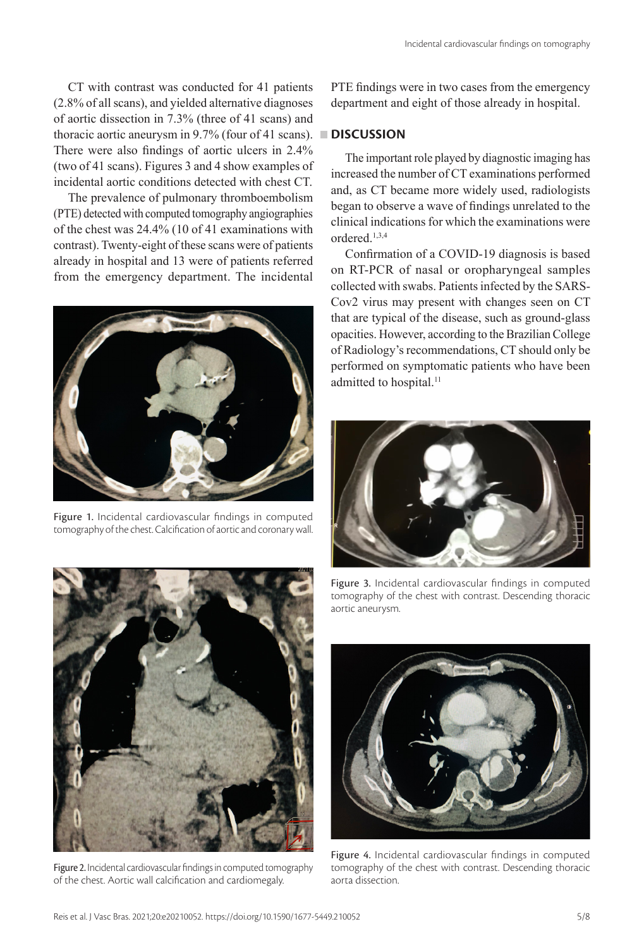CT with contrast was conducted for 41 patients (2.8% of all scans), and yielded alternative diagnoses of aortic dissection in 7.3% (three of 41 scans) and thoracic aortic aneurysm in 9.7% (four of 41 scans). **DISCUSSION** There were also findings of aortic ulcers in 2.4% (two of 41 scans). Figures 3 and 4 show examples of incidental aortic conditions detected with chest CT.

The prevalence of pulmonary thromboembolism (PTE) detected with computed tomography angiographies of the chest was 24.4% (10 of 41 examinations with contrast). Twenty-eight of these scans were of patients already in hospital and 13 were of patients referred from the emergency department. The incidental



Figure 1. Incidental cardiovascular findings in computed tomography of the chest. Calcification of aortic and coronary wall.

PTE findings were in two cases from the emergency department and eight of those already in hospital.

The important role played by diagnostic imaging has increased the number of CT examinations performed and, as CT became more widely used, radiologists began to observe a wave of findings unrelated to the clinical indications for which the examinations were ordered.1,3,4

Confirmation of a COVID-19 diagnosis is based on RT-PCR of nasal or oropharyngeal samples collected with swabs. Patients infected by the SARS-Cov2 virus may present with changes seen on CT that are typical of the disease, such as ground-glass opacities. However, according to the Brazilian College of Radiology's recommendations, CT should only be performed on symptomatic patients who have been admitted to hospital.<sup>11</sup>





Figure 2. Incidental cardiovascular findings in computed tomography of the chest. Aortic wall calcification and cardiomegaly.

Figure 3. Incidental cardiovascular findings in computed tomography of the chest with contrast. Descending thoracic aortic aneurysm.



Figure 4. Incidental cardiovascular findings in computed tomography of the chest with contrast. Descending thoracic aorta dissection.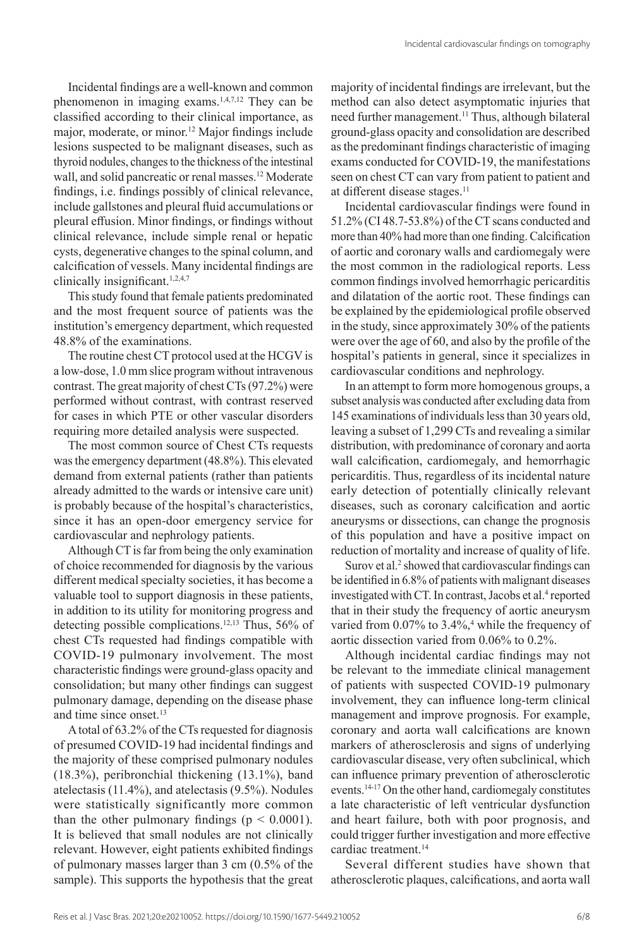Incidental findings are a well-known and common phenomenon in imaging exams.<sup>1,4,7,12</sup> They can be classified according to their clinical importance, as major, moderate, or minor.12 Major findings include lesions suspected to be malignant diseases, such as thyroid nodules, changes to the thickness of the intestinal wall, and solid pancreatic or renal masses.<sup>12</sup> Moderate findings, i.e. findings possibly of clinical relevance, include gallstones and pleural fluid accumulations or pleural effusion. Minor findings, or findings without clinical relevance, include simple renal or hepatic cysts, degenerative changes to the spinal column, and calcification of vessels. Many incidental findings are clinically insignificant.<sup>1,2,4,7</sup>

This study found that female patients predominated and the most frequent source of patients was the institution's emergency department, which requested 48.8% of the examinations.

The routine chest CT protocol used at the HCGV is a low-dose, 1.0 mm slice program without intravenous contrast. The great majority of chest CTs (97.2%) were performed without contrast, with contrast reserved for cases in which PTE or other vascular disorders requiring more detailed analysis were suspected.

The most common source of Chest CTs requests was the emergency department (48.8%). This elevated demand from external patients (rather than patients already admitted to the wards or intensive care unit) is probably because of the hospital's characteristics, since it has an open-door emergency service for cardiovascular and nephrology patients.

Although CT is far from being the only examination of choice recommended for diagnosis by the various different medical specialty societies, it has become a valuable tool to support diagnosis in these patients, in addition to its utility for monitoring progress and detecting possible complications.12,13 Thus, 56% of chest CTs requested had findings compatible with COVID-19 pulmonary involvement. The most characteristic findings were ground-glass opacity and consolidation; but many other findings can suggest pulmonary damage, depending on the disease phase and time since onset.<sup>13</sup>

A total of 63.2% of the CTs requested for diagnosis of presumed COVID-19 had incidental findings and the majority of these comprised pulmonary nodules (18.3%), peribronchial thickening (13.1%), band atelectasis (11.4%), and atelectasis (9.5%). Nodules were statistically significantly more common than the other pulmonary findings ( $p < 0.0001$ ). It is believed that small nodules are not clinically relevant. However, eight patients exhibited findings of pulmonary masses larger than 3 cm (0.5% of the sample). This supports the hypothesis that the great

majority of incidental findings are irrelevant, but the method can also detect asymptomatic injuries that need further management.<sup>11</sup> Thus, although bilateral ground-glass opacity and consolidation are described as the predominant findings characteristic of imaging exams conducted for COVID-19, the manifestations seen on chest CT can vary from patient to patient and at different disease stages.<sup>11</sup>

Incidental cardiovascular findings were found in 51.2% (CI 48.7-53.8%) of the CT scans conducted and more than 40% had more than one finding. Calcification of aortic and coronary walls and cardiomegaly were the most common in the radiological reports. Less common findings involved hemorrhagic pericarditis and dilatation of the aortic root. These findings can be explained by the epidemiological profile observed in the study, since approximately 30% of the patients were over the age of 60, and also by the profile of the hospital's patients in general, since it specializes in cardiovascular conditions and nephrology.

In an attempt to form more homogenous groups, a subset analysis was conducted after excluding data from 145 examinations of individuals less than 30 years old, leaving a subset of 1,299 CTs and revealing a similar distribution, with predominance of coronary and aorta wall calcification, cardiomegaly, and hemorrhagic pericarditis. Thus, regardless of its incidental nature early detection of potentially clinically relevant diseases, such as coronary calcification and aortic aneurysms or dissections, can change the prognosis of this population and have a positive impact on reduction of mortality and increase of quality of life.

Surov et al.<sup>2</sup> showed that cardiovascular findings can be identified in 6.8% of patients with malignant diseases investigated with CT. In contrast, Jacobs et al.<sup>4</sup> reported that in their study the frequency of aortic aneurysm varied from 0.07% to 3.4%,<sup>4</sup> while the frequency of aortic dissection varied from 0.06% to 0.2%.

Although incidental cardiac findings may not be relevant to the immediate clinical management of patients with suspected COVID-19 pulmonary involvement, they can influence long-term clinical management and improve prognosis. For example, coronary and aorta wall calcifications are known markers of atherosclerosis and signs of underlying cardiovascular disease, very often subclinical, which can influence primary prevention of atherosclerotic events.<sup>14-17</sup> On the other hand, cardiomegaly constitutes a late characteristic of left ventricular dysfunction and heart failure, both with poor prognosis, and could trigger further investigation and more effective cardiac treatment.14

Several different studies have shown that atherosclerotic plaques, calcifications, and aorta wall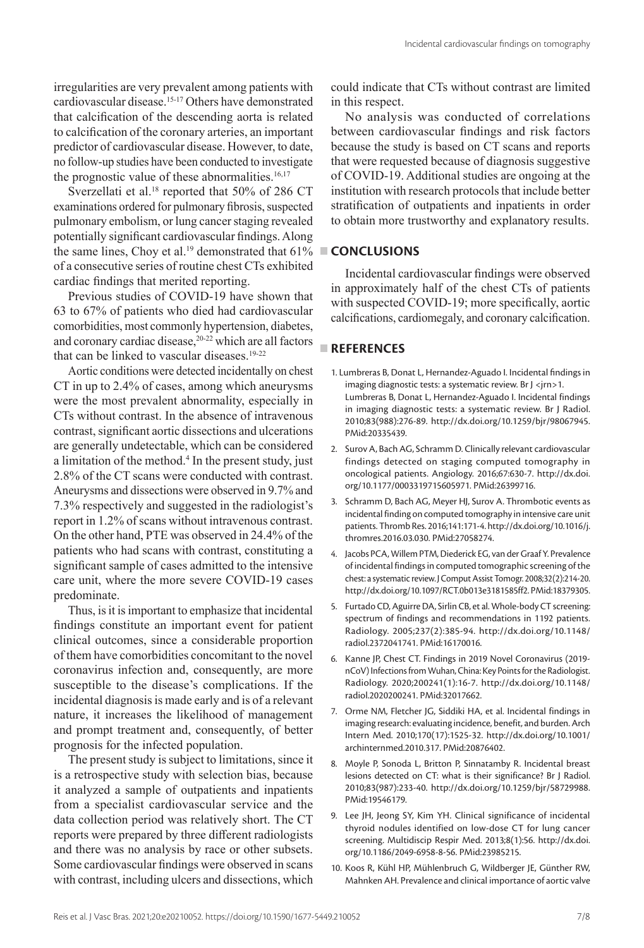irregularities are very prevalent among patients with cardiovascular disease.15-17 Others have demonstrated that calcification of the descending aorta is related to calcification of the coronary arteries, an important predictor of cardiovascular disease. However, to date, no follow-up studies have been conducted to investigate the prognostic value of these abnormalities. $16,17$ 

Sverzellati et al.<sup>18</sup> reported that 50% of 286 CT examinations ordered for pulmonary fibrosis, suspected pulmonary embolism, or lung cancer staging revealed potentially significant cardiovascular findings. Along the same lines, Choy et al.<sup>19</sup> demonstrated that  $61\%$ of a consecutive series of routine chest CTs exhibited cardiac findings that merited reporting.

Previous studies of COVID-19 have shown that 63 to 67% of patients who died had cardiovascular comorbidities, most commonly hypertension, diabetes, and coronary cardiac disease,<sup>20-22</sup> which are all factors that can be linked to vascular diseases.<sup>19-22</sup>

Aortic conditions were detected incidentally on chest CT in up to 2.4% of cases, among which aneurysms were the most prevalent abnormality, especially in CTs without contrast. In the absence of intravenous contrast, significant aortic dissections and ulcerations are generally undetectable, which can be considered a limitation of the method.<sup>4</sup> In the present study, just 2.8% of the CT scans were conducted with contrast. Aneurysms and dissections were observed in 9.7% and 7.3% respectively and suggested in the radiologist's report in 1.2% of scans without intravenous contrast. On the other hand, PTE was observed in 24.4% of the patients who had scans with contrast, constituting a significant sample of cases admitted to the intensive care unit, where the more severe COVID-19 cases predominate.

Thus, is it is important to emphasize that incidental findings constitute an important event for patient clinical outcomes, since a considerable proportion of them have comorbidities concomitant to the novel coronavirus infection and, consequently, are more susceptible to the disease's complications. If the incidental diagnosis is made early and is of a relevant nature, it increases the likelihood of management and prompt treatment and, consequently, of better prognosis for the infected population.

The present study is subject to limitations, since it is a retrospective study with selection bias, because it analyzed a sample of outpatients and inpatients from a specialist cardiovascular service and the data collection period was relatively short. The CT reports were prepared by three different radiologists and there was no analysis by race or other subsets. Some cardiovascular findings were observed in scans with contrast, including ulcers and dissections, which

could indicate that CTs without contrast are limited in this respect.

Incidental cardiovascular findings on tomography

No analysis was conducted of correlations between cardiovascular findings and risk factors because the study is based on CT scans and reports that were requested because of diagnosis suggestive of COVID-19. Additional studies are ongoing at the institution with research protocols that include better stratification of outpatients and inpatients in order to obtain more trustworthy and explanatory results.

### **CONCLUSIONS I**

Incidental cardiovascular findings were observed in approximately half of the chest CTs of patients with suspected COVID-19; more specifically, aortic calcifications, cardiomegaly, and coronary calcification.

## **REFERENCES**

- 1. Lumbreras B, Donat L, Hernandez-Aguado I. Incidental findings in imaging diagnostic tests: a systematic review. Br J <jrn>1. Lumbreras B, Donat L, Hernandez-Aguado I. Incidental findings in imaging diagnostic tests: a systematic review. Br J Radiol. 2010;83(988):276-89. [http://dx.doi.org/10.1259/bjr/98067945](https://doi.org/10.1259/bjr/98067945). [PMid:20335439.](https://www.ncbi.nlm.nih.gov/entrez/query.fcgi?cmd=Retrieve&db=PubMed&list_uids=20335439&dopt=Abstract)
- 2. Surov A, Bach AG, Schramm D. Clinically relevant cardiovascular findings detected on staging computed tomography in oncological patients. Angiology. 2016;67:630-7. [http://dx.doi.](https://doi.org/10.1177/0003319715605971) [org/10.1177/0003319715605971](https://doi.org/10.1177/0003319715605971). [PMid:26399716.](https://www.ncbi.nlm.nih.gov/entrez/query.fcgi?cmd=Retrieve&db=PubMed&list_uids=26399716&dopt=Abstract)
- 3. Schramm D, Bach AG, Meyer HJ, Surov A. Thrombotic events as incidental finding on computed tomography in intensive care unit patients. Thromb Res. 2016;141:171-4. [http://dx.doi.org/10.1016/j.](https://doi.org/10.1016/j.thromres.2016.03.030) [thromres.2016.03.030](https://doi.org/10.1016/j.thromres.2016.03.030). [PMid:27058274.](https://www.ncbi.nlm.nih.gov/entrez/query.fcgi?cmd=Retrieve&db=PubMed&list_uids=27058274&dopt=Abstract)
- 4. Jacobs PCA, Willem PTM, Diederick EG, van der Graaf Y. Prevalence of incidental findings in computed tomographic screening of the chest: a systematic review. J Comput Assist Tomogr. 2008;32(2):214-20. [http://dx.doi.org/10.1097/RCT.0b013e3181585ff2](https://doi.org/10.1097/RCT.0b013e3181585ff2)[. PMid:18379305.](https://www.ncbi.nlm.nih.gov/entrez/query.fcgi?cmd=Retrieve&db=PubMed&list_uids=18379305&dopt=Abstract)
- 5. Furtado CD, Aguirre DA, Sirlin CB, et al. Whole-body CT screening: spectrum of findings and recommendations in 1192 patients. Radiology. 2005;237(2):385-94. [http://dx.doi.org/10.1148/](https://doi.org/10.1148/radiol.2372041741) [radiol.2372041741.](https://doi.org/10.1148/radiol.2372041741) [PMid:16170016.](https://www.ncbi.nlm.nih.gov/entrez/query.fcgi?cmd=Retrieve&db=PubMed&list_uids=16170016&dopt=Abstract)
- 6. Kanne JP, Chest CT. Findings in 2019 Novel Coronavirus (2019 nCoV) Infections from Wuhan, China: Key Points for the Radiologist. Radiology. 2020;200241(1):16-7. [http://dx.doi.org/10.1148/](https://doi.org/10.1148/radiol.2020200241) [radiol.2020200241.](https://doi.org/10.1148/radiol.2020200241) [PMid:32017662.](https://www.ncbi.nlm.nih.gov/entrez/query.fcgi?cmd=Retrieve&db=PubMed&list_uids=32017662&dopt=Abstract)
- 7. Orme NM, Fletcher JG, Siddiki HA, et al. Incidental findings in imaging research: evaluating incidence, benefit, and burden. Arch Intern Med. 2010;170(17):1525-32. [http://dx.doi.org/10.1001/](https://doi.org/10.1001/archinternmed.2010.317) [archinternmed.2010.317](https://doi.org/10.1001/archinternmed.2010.317). [PMid:20876402.](https://www.ncbi.nlm.nih.gov/entrez/query.fcgi?cmd=Retrieve&db=PubMed&list_uids=20876402&dopt=Abstract)
- 8. Moyle P, Sonoda L, Britton P, Sinnatamby R. Incidental breast lesions detected on CT: what is their significance? Br J Radiol. 2010;83(987):233-40. [http://dx.doi.org/10.1259/bjr/58729988](https://doi.org/10.1259/bjr/58729988). [PMid:19546179.](https://www.ncbi.nlm.nih.gov/entrez/query.fcgi?cmd=Retrieve&db=PubMed&list_uids=19546179&dopt=Abstract)
- 9. Lee JH, Jeong SY, Kim YH. Clinical significance of incidental thyroid nodules identified on low-dose CT for lung cancer screening. Multidiscip Respir Med. 2013;8(1):56. [http://dx.doi.](https://doi.org/10.1186/2049-6958-8-56) [org/10.1186/2049-6958-8-56](https://doi.org/10.1186/2049-6958-8-56)[. PMid:23985215.](https://www.ncbi.nlm.nih.gov/entrez/query.fcgi?cmd=Retrieve&db=PubMed&list_uids=23985215&dopt=Abstract)
- 10. Koos R, Kühl HP, Mühlenbruch G, Wildberger JE, Günther RW, Mahnken AH. Prevalence and clinical importance of aortic valve